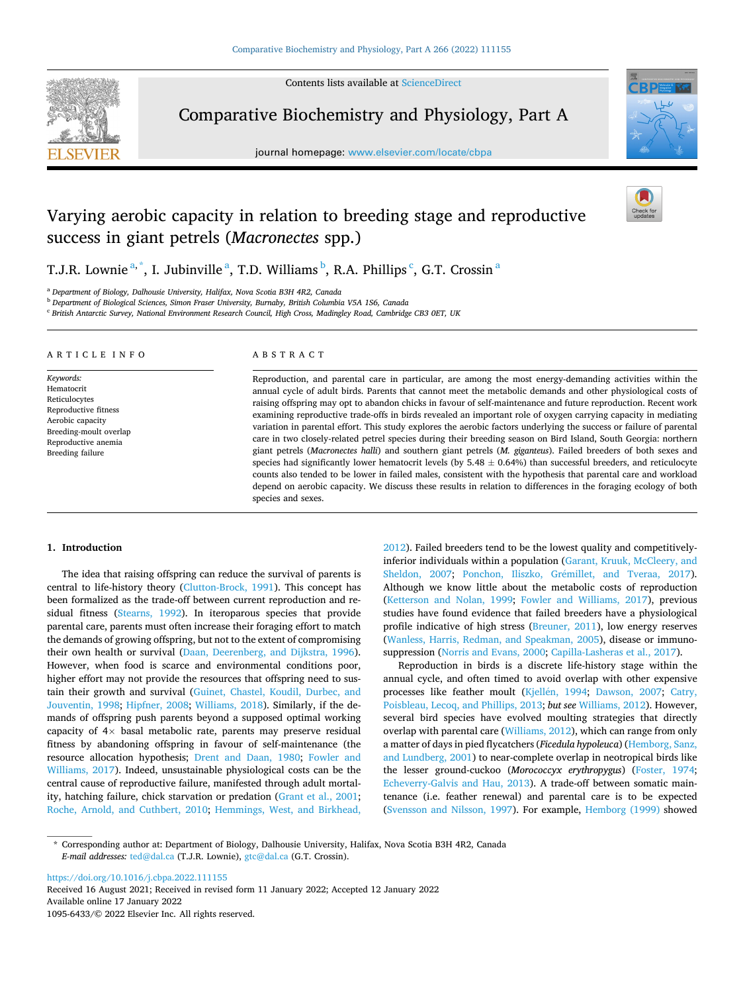Contents lists available at [ScienceDirect](www.sciencedirect.com/science/journal/10956433)



Comparative Biochemistry and Physiology, Part A

journal homepage: [www.elsevier.com/locate/cbpa](https://www.elsevier.com/locate/cbpa)



# Varying aerobic capacity in relation to breeding stage and reproductive success in giant petrels (*Macronectes* spp.)

T.J.R. Lownie  $a^*$ , I. Jubinville  $^a$ , T.D. Williams  $^b$ , R.A. Phillips  $^c$ , G.T. Crossin  $^a$ 

<sup>a</sup> *Department of Biology, Dalhousie University, Halifax, Nova Scotia B3H 4R2, Canada* 

<sup>b</sup> *Department of Biological Sciences, Simon Fraser University, Burnaby, British Columbia V5A 1S6, Canada* 

<sup>c</sup> *British Antarctic Survey, National Environment Research Council, High Cross, Madingley Road, Cambridge CB3 0ET, UK* 

#### ARTICLE INFO

*Keywords:*  Hematocrit Reticulocytes Reproductive fitness Aerobic capacity Breeding-moult overlap Reproductive anemia Breeding failure

# ABSTRACT

Reproduction, and parental care in particular, are among the most energy-demanding activities within the annual cycle of adult birds. Parents that cannot meet the metabolic demands and other physiological costs of raising offspring may opt to abandon chicks in favour of self-maintenance and future reproduction. Recent work examining reproductive trade-offs in birds revealed an important role of oxygen carrying capacity in mediating variation in parental effort. This study explores the aerobic factors underlying the success or failure of parental care in two closely-related petrel species during their breeding season on Bird Island, South Georgia: northern giant petrels (*Macronectes halli*) and southern giant petrels (*M. giganteus*). Failed breeders of both sexes and species had significantly lower hematocrit levels (by  $5.48 \pm 0.64\%$ ) than successful breeders, and reticulocyte counts also tended to be lower in failed males, consistent with the hypothesis that parental care and workload depend on aerobic capacity. We discuss these results in relation to differences in the foraging ecology of both species and sexes.

## **1. Introduction**

The idea that raising offspring can reduce the survival of parents is central to life-history theory ([Clutton-Brock, 1991](#page-6-0)). This concept has been formalized as the trade-off between current reproduction and residual fitness [\(Stearns, 1992](#page-7-0)). In iteroparous species that provide parental care, parents must often increase their foraging effort to match the demands of growing offspring, but not to the extent of compromising their own health or survival [\(Daan, Deerenberg, and Dijkstra, 1996](#page-6-0)). However, when food is scarce and environmental conditions poor, higher effort may not provide the resources that offspring need to sustain their growth and survival ([Guinet, Chastel, Koudil, Durbec, and](#page-6-0)  [Jouventin, 1998;](#page-6-0) [Hipfner, 2008](#page-6-0); [Williams, 2018](#page-7-0)). Similarly, if the demands of offspring push parents beyond a supposed optimal working capacity of  $4\times$  basal metabolic rate, parents may preserve residual fitness by abandoning offspring in favour of self-maintenance (the resource allocation hypothesis; [Drent and Daan, 1980](#page-6-0); [Fowler and](#page-6-0)  [Williams, 2017\)](#page-6-0). Indeed, unsustainable physiological costs can be the central cause of reproductive failure, manifested through adult mortality, hatching failure, chick starvation or predation ([Grant et al., 2001](#page-6-0); [Roche, Arnold, and Cuthbert, 2010](#page-7-0); [Hemmings, West, and Birkhead,](#page-6-0) 

[2012\)](#page-6-0). Failed breeders tend to be the lowest quality and competitivelyinferior individuals within a population [\(Garant, Kruuk, McCleery, and](#page-6-0)  [Sheldon, 2007](#page-6-0); Ponchon, Iliszko, Grémillet, and Tveraa, 2017). Although we know little about the metabolic costs of reproduction ([Ketterson and Nolan, 1999](#page-6-0); [Fowler and Williams, 2017\)](#page-6-0), previous studies have found evidence that failed breeders have a physiological profile indicative of high stress ([Breuner, 2011](#page-5-0)), low energy reserves ([Wanless, Harris, Redman, and Speakman, 2005](#page-7-0)), disease or immunosuppression [\(Norris and Evans, 2000](#page-6-0); [Capilla-Lasheras et al., 2017\)](#page-5-0).

Reproduction in birds is a discrete life-history stage within the annual cycle, and often timed to avoid overlap with other expensive processes like feather moult (Kjellén, 1994; [Dawson, 2007](#page-6-0); Catry, [Poisbleau, Lecoq, and Phillips, 2013;](#page-5-0) *but see* [Williams, 2012](#page-7-0)). However, several bird species have evolved moulting strategies that directly overlap with parental care ([Williams, 2012\)](#page-7-0), which can range from only a matter of days in pied flycatchers (*Ficedula hypoleuca*) [\(Hemborg, Sanz,](#page-6-0)  [and Lundberg, 2001\)](#page-6-0) to near-complete overlap in neotropical birds like the lesser ground-cuckoo (*Morococcyx erythropygus*) [\(Foster, 1974](#page-6-0); [Echeverry-Galvis and Hau, 2013\)](#page-6-0). A trade-off between somatic maintenance (i.e. feather renewal) and parental care is to be expected ([Svensson and Nilsson, 1997\)](#page-7-0). For example, [Hemborg \(1999\)](#page-6-0) showed

<https://doi.org/10.1016/j.cbpa.2022.111155>

Available online 17 January 2022 1095-6433/© 2022 Elsevier Inc. All rights reserved. Received 16 August 2021; Received in revised form 11 January 2022; Accepted 12 January 2022

<sup>\*</sup> Corresponding author at: Department of Biology, Dalhousie University, Halifax, Nova Scotia B3H 4R2, Canada *E-mail addresses:* [ted@dal.ca](mailto:ted@dal.ca) (T.J.R. Lownie), [gtc@dal.ca](mailto:gtc@dal.ca) (G.T. Crossin).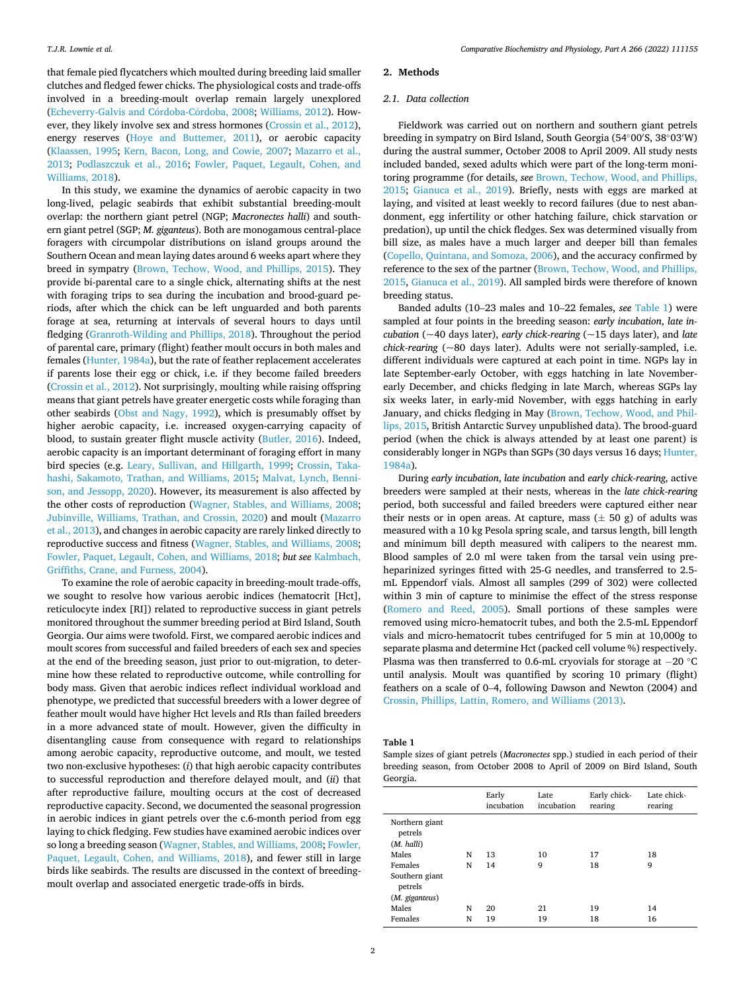<span id="page-1-0"></span>that female pied flycatchers which moulted during breeding laid smaller clutches and fledged fewer chicks. The physiological costs and trade-offs involved in a breeding-moult overlap remain largely unexplored (Echeverry-Galvis and Córdoba-Córdoba, 2008; [Williams, 2012\)](#page-7-0). However, they likely involve sex and stress hormones [\(Crossin et al., 2012](#page-6-0)), energy reserves ([Hoye and Buttemer, 2011](#page-6-0)), or aerobic capacity ([Klaassen, 1995](#page-6-0); [Kern, Bacon, Long, and Cowie, 2007;](#page-6-0) [Mazarro et al.,](#page-6-0)  [2013;](#page-6-0) [Podlaszczuk et al., 2016](#page-7-0); [Fowler, Paquet, Legault, Cohen, and](#page-6-0)  [Williams, 2018](#page-6-0)).

In this study, we examine the dynamics of aerobic capacity in two long-lived, pelagic seabirds that exhibit substantial breeding-moult overlap: the northern giant petrel (NGP; *Macronectes halli*) and southern giant petrel (SGP; *M. giganteus*). Both are monogamous central-place foragers with circumpolar distributions on island groups around the Southern Ocean and mean laying dates around 6 weeks apart where they breed in sympatry ([Brown, Techow, Wood, and Phillips, 2015\)](#page-5-0). They provide bi-parental care to a single chick, alternating shifts at the nest with foraging trips to sea during the incubation and brood-guard periods, after which the chick can be left unguarded and both parents forage at sea, returning at intervals of several hours to days until fledging ([Granroth-Wilding and Phillips, 2018\)](#page-6-0). Throughout the period of parental care, primary (flight) feather moult occurs in both males and females [\(Hunter, 1984a](#page-6-0)), but the rate of feather replacement accelerates if parents lose their egg or chick, i.e. if they become failed breeders ([Crossin et al., 2012\)](#page-6-0). Not surprisingly, moulting while raising offspring means that giant petrels have greater energetic costs while foraging than other seabirds [\(Obst and Nagy, 1992](#page-6-0)), which is presumably offset by higher aerobic capacity, i.e. increased oxygen-carrying capacity of blood, to sustain greater flight muscle activity ([Butler, 2016](#page-5-0)). Indeed, aerobic capacity is an important determinant of foraging effort in many bird species (e.g. [Leary, Sullivan, and Hillgarth, 1999](#page-6-0); [Crossin, Taka](#page-6-0)[hashi, Sakamoto, Trathan, and Williams, 2015;](#page-6-0) [Malvat, Lynch, Benni](#page-6-0)[son, and Jessopp, 2020](#page-6-0)). However, its measurement is also affected by the other costs of reproduction [\(Wagner, Stables, and Williams, 2008](#page-7-0); [Jubinville, Williams, Trathan, and Crossin, 2020](#page-6-0)) and moult [\(Mazarro](#page-6-0)  [et al., 2013](#page-6-0)), and changes in aerobic capacity are rarely linked directly to reproductive success and fitness [\(Wagner, Stables, and Williams, 2008](#page-7-0); [Fowler, Paquet, Legault, Cohen, and Williams, 2018;](#page-6-0) *but see* [Kalmbach,](#page-6-0)  [Griffiths, Crane, and Furness, 2004](#page-6-0)).

To examine the role of aerobic capacity in breeding-moult trade-offs, we sought to resolve how various aerobic indices (hematocrit [Hct], reticulocyte index [RI]) related to reproductive success in giant petrels monitored throughout the summer breeding period at Bird Island, South Georgia. Our aims were twofold. First, we compared aerobic indices and moult scores from successful and failed breeders of each sex and species at the end of the breeding season, just prior to out-migration, to determine how these related to reproductive outcome, while controlling for body mass. Given that aerobic indices reflect individual workload and phenotype, we predicted that successful breeders with a lower degree of feather moult would have higher Hct levels and RIs than failed breeders in a more advanced state of moult. However, given the difficulty in disentangling cause from consequence with regard to relationships among aerobic capacity, reproductive outcome, and moult, we tested two non-exclusive hypotheses: (*i*) that high aerobic capacity contributes to successful reproduction and therefore delayed moult, and (*ii*) that after reproductive failure, moulting occurs at the cost of decreased reproductive capacity. Second, we documented the seasonal progression in aerobic indices in giant petrels over the c.6-month period from egg laying to chick fledging. Few studies have examined aerobic indices over so long a breeding season [\(Wagner, Stables, and Williams, 2008](#page-7-0); [Fowler,](#page-6-0)  [Paquet, Legault, Cohen, and Williams, 2018](#page-6-0)), and fewer still in large birds like seabirds. The results are discussed in the context of breedingmoult overlap and associated energetic trade-offs in birds.

## **2. Methods**

## *2.1. Data collection*

Fieldwork was carried out on northern and southern giant petrels breeding in sympatry on Bird Island, South Georgia (54◦00′ S, 38◦03′ W) during the austral summer, October 2008 to April 2009. All study nests included banded, sexed adults which were part of the long-term monitoring programme (for details, *see* [Brown, Techow, Wood, and Phillips,](#page-5-0)  [2015;](#page-5-0) [Gianuca et al., 2019](#page-6-0)). Briefly, nests with eggs are marked at laying, and visited at least weekly to record failures (due to nest abandonment, egg infertility or other hatching failure, chick starvation or predation), up until the chick fledges. Sex was determined visually from bill size, as males have a much larger and deeper bill than females ([Copello, Quintana, and Somoza, 2006](#page-6-0)), and the accuracy confirmed by reference to the sex of the partner ([Brown, Techow, Wood, and Phillips,](#page-5-0)  [2015,](#page-5-0) [Gianuca et al., 2019\)](#page-6-0). All sampled birds were therefore of known breeding status.

Banded adults (10–23 males and 10–22 females, *see* Table 1) were sampled at four points in the breeding season: *early incubation*, *late incubation* ( $\sim$ 40 days later), *early chick-rearing* ( $\sim$ 15 days later), and *late chick-rearing* (~80 days later). Adults were not serially-sampled, i.e. different individuals were captured at each point in time. NGPs lay in late September-early October, with eggs hatching in late Novemberearly December, and chicks fledging in late March, whereas SGPs lay six weeks later, in early-mid November, with eggs hatching in early January, and chicks fledging in May ([Brown, Techow, Wood, and Phil](#page-5-0)[lips, 2015](#page-5-0), British Antarctic Survey unpublished data). The brood-guard period (when the chick is always attended by at least one parent) is considerably longer in NGPs than SGPs (30 days versus 16 days; [Hunter,](#page-6-0)  [1984a\)](#page-6-0).

During *early incubation*, *late incubation* and *early chick-rearing*, active breeders were sampled at their nests, whereas in the *late chick-rearing*  period, both successful and failed breeders were captured either near their nests or in open areas. At capture, mass  $(\pm 50 \text{ g})$  of adults was measured with a 10 kg Pesola spring scale, and tarsus length, bill length and minimum bill depth measured with calipers to the nearest mm. Blood samples of 2.0 ml were taken from the tarsal vein using preheparinized syringes fitted with 25-G needles, and transferred to 2.5 mL Eppendorf vials. Almost all samples (299 of 302) were collected within 3 min of capture to minimise the effect of the stress response ([Romero and Reed, 2005](#page-7-0)). Small portions of these samples were removed using micro-hematocrit tubes, and both the 2.5-mL Eppendorf vials and micro-hematocrit tubes centrifuged for 5 min at 10,000*g* to separate plasma and determine Hct (packed cell volume %) respectively. Plasma was then transferred to 0.6-mL cryovials for storage at − 20 ◦C until analysis. Moult was quantified by scoring 10 primary (flight) feathers on a scale of 0–4, following Dawson and Newton (2004) and [Crossin, Phillips, Lattin, Romero, and Williams \(2013\)](#page-6-0).

**Table 1** 

Sample sizes of giant petrels (*Macronectes* spp.) studied in each period of their breeding season, from October 2008 to April of 2009 on Bird Island, South Georgia.

|                                                        |        | Early<br>incubation | Late<br>incubation | Early chick-<br>rearing | Late chick-<br>rearing |
|--------------------------------------------------------|--------|---------------------|--------------------|-------------------------|------------------------|
| Northern giant<br>petrels<br>(M. halli)                |        |                     |                    |                         |                        |
| Males                                                  | N      | 13                  | 10                 | 17                      | 18                     |
| Females<br>Southern giant<br>petrels<br>(M. giganteus) | N      | 14                  | 9                  | 18                      | 9                      |
| Males<br>Females                                       | N<br>N | 20<br>19            | 21<br>19           | 19<br>18                | 14<br>16               |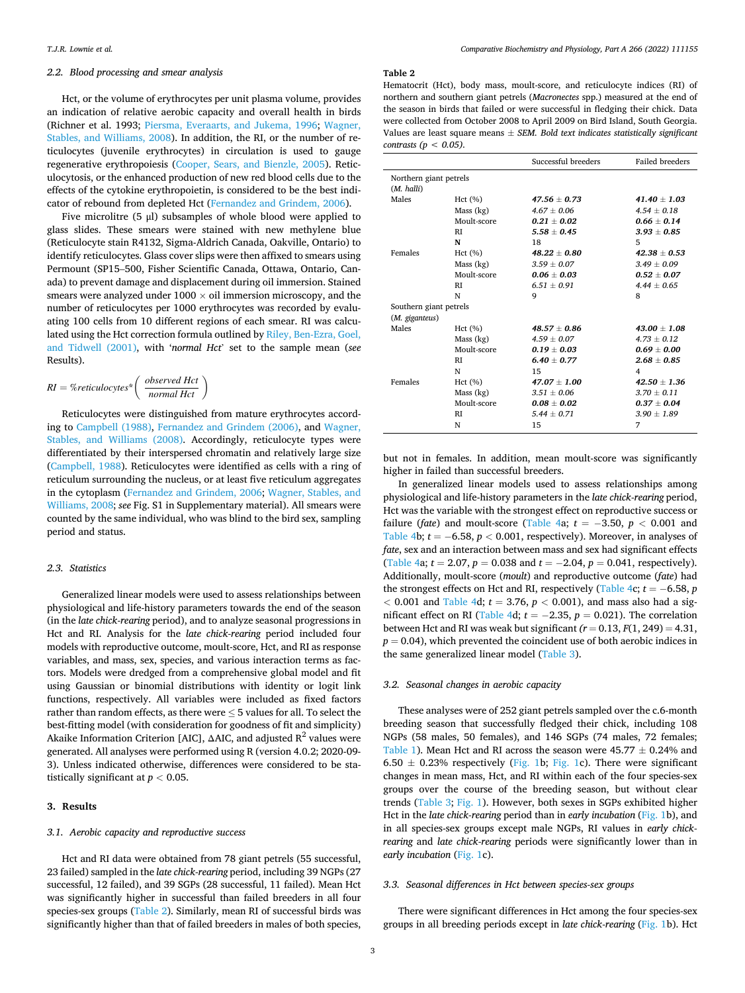# <span id="page-2-0"></span>*2.2. Blood processing and smear analysis*

Hct, or the volume of erythrocytes per unit plasma volume, provides an indication of relative aerobic capacity and overall health in birds (Richner et al. 1993; [Piersma, Everaarts, and Jukema, 1996;](#page-6-0) [Wagner,](#page-7-0)  [Stables, and Williams, 2008\)](#page-7-0). In addition, the RI, or the number of reticulocytes (juvenile erythrocytes) in circulation is used to gauge regenerative erythropoiesis ([Cooper, Sears, and Bienzle, 2005\)](#page-6-0). Reticulocytosis, or the enhanced production of new red blood cells due to the effects of the cytokine erythropoietin, is considered to be the best indicator of rebound from depleted Hct ([Fernandez and Grindem, 2006](#page-6-0)).

Five microlitre (5 μl) subsamples of whole blood were applied to glass slides. These smears were stained with new methylene blue (Reticulocyte stain R4132, Sigma-Aldrich Canada, Oakville, Ontario) to identify reticulocytes. Glass cover slips were then affixed to smears using Permount (SP15–500, Fisher Scientific Canada, Ottawa, Ontario, Canada) to prevent damage and displacement during oil immersion. Stained smears were analyzed under  $1000 \times$  oil immersion microscopy, and the number of reticulocytes per 1000 erythrocytes was recorded by evaluating 100 cells from 10 different regions of each smear. RI was calculated using the Hct correction formula outlined by [Riley, Ben-Ezra, Goel,](#page-7-0)  [and Tidwell \(2001\)](#page-7-0), with '*normal Hct*' set to the sample mean (*see*  Results).

$$
RI = %reticulocytes* \left( \frac{observed \, Hct}{normal \, Hct} \right)
$$

Reticulocytes were distinguished from mature erythrocytes according to [Campbell \(1988\)](#page-5-0), [Fernandez and Grindem \(2006\),](#page-6-0) and [Wagner,](#page-7-0)  [Stables, and Williams \(2008\)](#page-7-0). Accordingly, reticulocyte types were differentiated by their interspersed chromatin and relatively large size ([Campbell, 1988\)](#page-5-0). Reticulocytes were identified as cells with a ring of reticulum surrounding the nucleus, or at least five reticulum aggregates in the cytoplasm ([Fernandez and Grindem, 2006;](#page-6-0) [Wagner, Stables, and](#page-7-0)  [Williams, 2008;](#page-7-0) *see* Fig. S1 in Supplementary material). All smears were counted by the same individual, who was blind to the bird sex, sampling period and status.

# *2.3. Statistics*

Generalized linear models were used to assess relationships between physiological and life-history parameters towards the end of the season (in the *late chick-rearing* period), and to analyze seasonal progressions in Hct and RI. Analysis for the *late chick-rearing* period included four models with reproductive outcome, moult-score, Hct, and RI as response variables, and mass, sex, species, and various interaction terms as factors. Models were dredged from a comprehensive global model and fit using Gaussian or binomial distributions with identity or logit link functions, respectively. All variables were included as fixed factors rather than random effects, as there were  $\leq$  5 values for all. To select the best-fitting model (with consideration for goodness of fit and simplicity) Akaike Information Criterion [AIC], ΔAIC, and adjusted  $R^2$  values were generated. All analyses were performed using R (version 4.0.2; 2020-09- 3). Unless indicated otherwise, differences were considered to be statistically significant at *p <* 0.05.

## **3. Results**

## *3.1. Aerobic capacity and reproductive success*

Hct and RI data were obtained from 78 giant petrels (55 successful, 23 failed) sampled in the *late chick-rearing* period, including 39 NGPs (27 successful, 12 failed), and 39 SGPs (28 successful, 11 failed). Mean Hct was significantly higher in successful than failed breeders in all four species-sex groups (Table 2). Similarly, mean RI of successful birds was significantly higher than that of failed breeders in males of both species,

#### **Table 2**

Hematocrit (Hct), body mass, moult-score, and reticulocyte indices (RI) of northern and southern giant petrels (*Macronectes* spp.) measured at the end of the season in birds that failed or were successful in fledging their chick. Data were collected from October 2008 to April 2009 on Bird Island, South Georgia. Values are least square means ± *SEM. Bold text indicates statistically significant contrasts (p < 0.05).* 

|                        |             | Successful breeders | <b>Failed breeders</b> |
|------------------------|-------------|---------------------|------------------------|
| Northern giant petrels |             |                     |                        |
| (M. halli)             |             |                     |                        |
| Males                  | Hct(%)      | $47.56 \pm 0.73$    | $41.40 + 1.03$         |
|                        | Mass (kg)   | $4.67 \pm 0.06$     | $4.54 \pm 0.18$        |
|                        | Moult-score | $0.21 \pm 0.02$     | $0.66 + 0.14$          |
|                        | RI          | $5.58 \pm 0.45$     | $3.93 \pm 0.85$        |
|                        | N           | 18                  | 5                      |
| Females                | Hct (%)     | $48.22 \pm 0.80$    | $42.38 \pm 0.53$       |
|                        | Mass (kg)   | $3.59 \pm 0.07$     | $3.49 \pm 0.09$        |
|                        | Moult-score | $0.06 + 0.03$       | $0.52 + 0.07$          |
|                        | RI          | $6.51 \pm 0.91$     | $4.44 \pm 0.65$        |
|                        | N           | 9                   | 8                      |
| Southern giant petrels |             |                     |                        |
| (M. giganteus)         |             |                     |                        |
| Males                  | Hct(%)      | $48.57 + 0.86$      | $43.00 + 1.08$         |
|                        | Mass (kg)   | $4.59 \pm 0.07$     | $4.73 \pm 0.12$        |
|                        | Moult-score | $0.19 \pm 0.03$     | $0.69 \pm 0.00$        |
|                        | RI          | $6.40 \pm 0.77$     | $2.68 \pm 0.85$        |
|                        | N           | 15                  | 4                      |
| Females                | Hct(%)      | $47.07 \pm 1.00$    | $42.50 + 1.36$         |
|                        | Mass (kg)   | $3.51 \pm 0.06$     | $3.70 \pm 0.11$        |
|                        | Moult-score | $0.08 \pm 0.02$     | $0.37 \pm 0.04$        |
|                        | RI          | $5.44 \pm 0.71$     | $3.90 \pm 1.89$        |
|                        | N           | 15                  | 7                      |

but not in females. In addition, mean moult-score was significantly higher in failed than successful breeders.

In generalized linear models used to assess relationships among physiological and life-history parameters in the *late chick-rearing* period, Hct was the variable with the strongest effect on reproductive success or failure (*fate*) and moult-score ([Table 4a](#page-4-0);  $t = -3.50$ ,  $p < 0.001$  and [Table 4](#page-4-0)b;  $t = -6.58$ ,  $p < 0.001$ , respectively). Moreover, in analyses of *fate*, sex and an interaction between mass and sex had significant effects ([Table 4a](#page-4-0);  $t = 2.07$ ,  $p = 0.038$  and  $t = -2.04$ ,  $p = 0.041$ , respectively). Additionally, moult-score (*moult*) and reproductive outcome (*fate*) had the strongest effects on Hct and RI, respectively ([Table 4](#page-4-0)c;  $t = -6.58$ , *p*  $<$  0.001 and [Table 4](#page-4-0)d;  $t = 3.76$ ,  $p < 0.001$ ), and mass also had a sig-nificant effect on RI [\(Table 4d](#page-4-0);  $t = -2.35$ ,  $p = 0.021$ ). The correlation between Hct and RI was weak but significant  $(r = 0.13, F(1, 249) = 4.31,$  $p = 0.04$ ), which prevented the coincident use of both aerobic indices in the same generalized linear model [\(Table 3\)](#page-3-0).

# *3.2. Seasonal changes in aerobic capacity*

These analyses were of 252 giant petrels sampled over the c.6-month breeding season that successfully fledged their chick, including 108 NGPs (58 males, 50 females), and 146 SGPs (74 males, 72 females; [Table 1](#page-1-0)). Mean Hct and RI across the season were  $45.77 \pm 0.24\%$  and 6.50  $\pm$  0.23% respectively ([Fig. 1](#page-3-0)b; [Fig. 1c](#page-3-0)). There were significant changes in mean mass, Hct, and RI within each of the four species-sex groups over the course of the breeding season, but without clear trends [\(Table 3;](#page-3-0) [Fig. 1\)](#page-3-0). However, both sexes in SGPs exhibited higher Hct in the *late chick-rearing* period than in *early incubation* [\(Fig. 1b](#page-3-0)), and in all species-sex groups except male NGPs, RI values in *early chickrearing* and *late chick-rearing* periods were significantly lower than in *early incubation* ([Fig. 1c](#page-3-0)).

# *3.3. Seasonal differences in Hct between species-sex groups*

There were significant differences in Hct among the four species-sex groups in all breeding periods except in *late chick-rearing* [\(Fig. 1](#page-3-0)b). Hct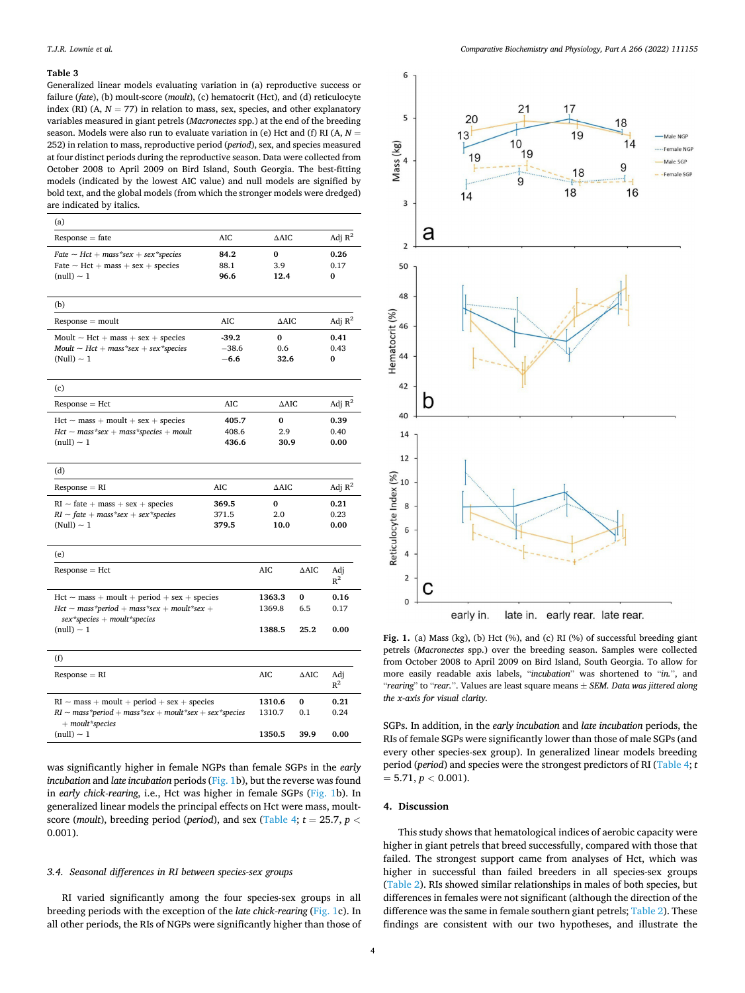#### <span id="page-3-0"></span>**Table 3**

Generalized linear models evaluating variation in (a) reproductive success or failure (*fate*), (b) moult-score (*moult*), (c) hematocrit (Hct), and (d) reticulocyte index (RI) (A,  $N = 77$ ) in relation to mass, sex, species, and other explanatory variables measured in giant petrels (*Macronectes* spp.) at the end of the breeding season. Models were also run to evaluate variation in (e) Hct and (f) RI (A, *N* = 252) in relation to mass, reproductive period (*period*), sex, and species measured at four distinct periods during the reproductive season. Data were collected from October 2008 to April 2009 on Bird Island, South Georgia. The best-fitting models (indicated by the lowest AIC value) and null models are signified by bold text, and the global models (from which the stronger models were dredged) are indicated by italics.

| (a)                                                                                                |                      |                    |                 |                   |
|----------------------------------------------------------------------------------------------------|----------------------|--------------------|-----------------|-------------------|
| $Response = fate$                                                                                  | <b>AIC</b>           | $\triangle$ AIC    |                 | Adj $R^2$         |
| $Rate - Het + mass*sex + sex*species$<br>Fate $\sim$ Hct + mass + sex + species<br>$(null) \sim 1$ | 84.2<br>88.1<br>96.6 | 0<br>3.9<br>12.4   |                 | 0.26<br>0.17<br>0 |
|                                                                                                    |                      |                    |                 |                   |
| (b)                                                                                                |                      |                    |                 |                   |
| $Response = \text{moult}$                                                                          | <b>AIC</b>           | $\triangle$ AIC    |                 | Adj $R^2$         |
| Moult $\sim$ Hct + mass + sex + species                                                            | $-39.2$              | 0                  |                 | 0.41              |
| Moult $\sim$ Hct + mass *sex + sex *species                                                        | $-38.6$              | 0.6                |                 | 0.43              |
| $(Null) \sim 1$                                                                                    | $-6.6$               | 32.6               |                 | 0                 |
| (c)                                                                                                |                      |                    |                 |                   |
| $Response = Hct$                                                                                   | AIC                  | $\Delta {\rm AIC}$ |                 | Adj $R^2$         |
| $Hct$ ~ mass + moult + sex + species                                                               | 405.7                | 0                  |                 | 0.39              |
| $Hct$ ~ mass *sex + mass *species + moult                                                          | 408.6                | 2.9                |                 | 0.40              |
| $(null) \sim 1$                                                                                    | 436.6                | 30.9               |                 | 0.00              |
| (d)                                                                                                |                      |                    |                 |                   |
| $Response = RI$                                                                                    | AIC                  | $\triangle$ AIC    |                 | Adj $R^2$         |
| $RI$ ~ fate + mass + sex + species                                                                 | 369.5                | $\bf{0}$           |                 | 0.21              |
| $RI \sim$ fate $+$ mass *sex $+$ sex *species                                                      | 371.5                | 2.0                |                 | 0.23              |
| $(Null) \sim 1$                                                                                    | 379.5                | 10.0               |                 | 0.00              |
| (e)                                                                                                |                      |                    |                 |                   |
| $Response = Hct$                                                                                   |                      | <b>AIC</b>         | $\triangle$ AIC | Adj<br>$R^2$      |
| $Hct \sim mass + moult + period + sex + species$                                                   |                      | 1363.3             | 0               | 0.16              |
| $Hct \sim mass * period + mass * sex + moult * sex +$                                              |                      | 1369.8             | 6.5             | 0.17              |
| $sex$ *species + moult*species<br>$(null) \sim 1$                                                  |                      | 1388.5             | 25.2            | 0.00              |
| (f)                                                                                                |                      |                    |                 |                   |
| $Response = RI$                                                                                    |                      | <b>AIC</b>         | ΔAIC            | Adj<br>$R^2$      |
| $RI \sim mass + mout + period + sex + species$                                                     |                      | 1310.6             | $\mathbf{0}$    | 0.21              |
| RI $\sim$ mass*period $+$ mass*sex $+$ moult*sex $+$ sex*species                                   |                      | 1310.7             | 0.1             | 0.24              |
| $+$ moult*species<br>$(null) \sim 1$                                                               |                      | 1350.5             | 39.9            | 0.00              |
|                                                                                                    |                      |                    |                 |                   |

was significantly higher in female NGPs than female SGPs in the *early incubation* and *late incubation* periods (Fig. 1b), but the reverse was found in *early chick-rearing*, i.e., Hct was higher in female SGPs (Fig. 1b). In generalized linear models the principal effects on Hct were mass, moultscore (*moult*), breeding period (*period*), and sex ([Table 4](#page-4-0);  $t = 25.7$ ,  $p <$ 0.001).

## *3.4. Seasonal differences in RI between species-sex groups*

RI varied significantly among the four species-sex groups in all breeding periods with the exception of the *late chick-rearing* (Fig. 1c). In all other periods, the RIs of NGPs were significantly higher than those of



Fig. 1. (a) Mass (kg), (b) Hct (%), and (c) RI (%) of successful breeding giant petrels (*Macronectes* spp.) over the breeding season. Samples were collected from October 2008 to April 2009 on Bird Island, South Georgia. To allow for more easily readable axis labels, "*incubation*" was shortened to "*in.*", and "*rearing*" to "*rear.*". Values are least square means ± *SEM. Data was jittered along the x-axis for visual clarity.* 

SGPs. In addition, in the *early incubation* and *late incubation* periods, the RIs of female SGPs were significantly lower than those of male SGPs (and every other species-sex group). In generalized linear models breeding period (*period*) and species were the strongest predictors of RI [\(Table 4](#page-4-0); *t*   $= 5.71, p < 0.001$ ).

## **4. Discussion**

This study shows that hematological indices of aerobic capacity were higher in giant petrels that breed successfully, compared with those that failed. The strongest support came from analyses of Hct, which was higher in successful than failed breeders in all species-sex groups ([Table 2\)](#page-2-0). RIs showed similar relationships in males of both species, but differences in females were not significant (although the direction of the difference was the same in female southern giant petrels; [Table 2](#page-2-0)). These findings are consistent with our two hypotheses, and illustrate the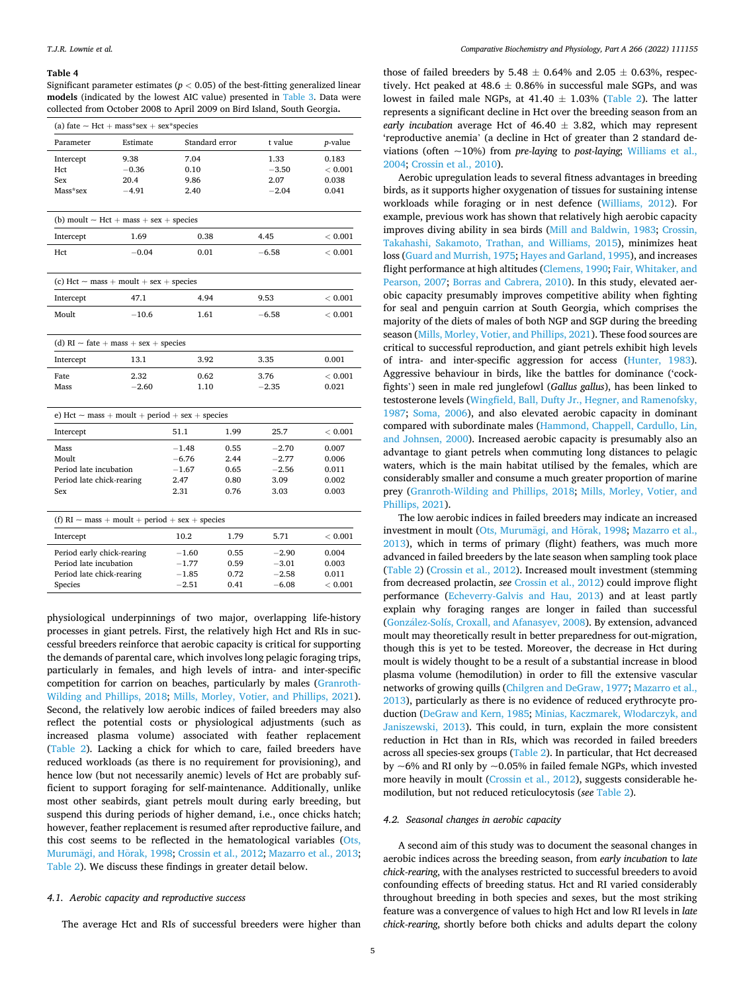#### <span id="page-4-0"></span>**Table 4**

Significant parameter estimates ( $p < 0.05$ ) of the best-fitting generalized linear **models** (indicated by the lowest AIC value) presented in [Table 3.](#page-3-0) Data were collected from October 2008 to April 2009 on Bird Island, South Georgia**.** 

| (a) fate $\sim$ Hct + mass*sex + sex*species                                                 |                                                     |                                               |                                      |                                               |                                           |  |
|----------------------------------------------------------------------------------------------|-----------------------------------------------------|-----------------------------------------------|--------------------------------------|-----------------------------------------------|-------------------------------------------|--|
| Parameter                                                                                    | Estimate                                            | Standard error                                |                                      | t value                                       | <i>p</i> -value                           |  |
| Intercept<br>Hct<br>Sex<br>Mass*sex                                                          | 9.38<br>$-0.36$<br>20.4<br>$-4.91$                  | 7.04<br>0.10<br>9.86<br>2.40                  |                                      | 1.33<br>$-3.50$<br>2.07<br>$-2.04$            | 0.183<br>< 0.001<br>0.038<br>0.041        |  |
|                                                                                              | (b) moult $\sim$ Hct + mass + sex + species         |                                               |                                      |                                               |                                           |  |
| Intercept                                                                                    | 1.69                                                | 0.38                                          |                                      | 4.45                                          | ${}< 0.001$                               |  |
| Hct                                                                                          | $-0.04$                                             | 0.01                                          |                                      | $-6.58$                                       | < 0.001                                   |  |
|                                                                                              | (c) Hct $\sim$ mass + moult + sex + species         |                                               |                                      |                                               |                                           |  |
| Intercept                                                                                    | 47.1                                                | 4.94                                          |                                      | 9.53                                          | < 0.001                                   |  |
| Moult                                                                                        | $-10.6$                                             |                                               | 1.61                                 |                                               | ${}< 0.001$                               |  |
|                                                                                              | (d) $RI \sim$ fate + mass + sex + species           |                                               |                                      |                                               |                                           |  |
| Intercept                                                                                    | 13.1                                                | 3.92                                          |                                      | 3.35                                          | 0.001                                     |  |
| <b>Fate</b><br>Mass                                                                          | 2.32<br>$-2.60$                                     | 0.62<br>1.10                                  |                                      | 3.76<br>$-2.35$                               | < 0.001<br>0.021                          |  |
|                                                                                              | e) Hct $\sim$ mass + moult + period + sex + species |                                               |                                      |                                               |                                           |  |
| Intercept                                                                                    |                                                     | 51.1                                          | 1.99                                 | 25.7                                          | < 0.001                                   |  |
| Mass<br>Moult<br>Period late incubation<br>Period late chick-rearing<br><b>Sex</b>           |                                                     | $-1.48$<br>$-6.76$<br>$-1.67$<br>2.47<br>2.31 | 0.55<br>2.44<br>0.65<br>0.80<br>0.76 | $-2.70$<br>$-2.77$<br>$-2.56$<br>3.09<br>3.03 | 0.007<br>0.006<br>0.011<br>0.002<br>0.003 |  |
| (f) $RI \sim$ mass + moult + period + sex + species                                          |                                                     |                                               |                                      |                                               |                                           |  |
| Intercept                                                                                    |                                                     | 10.2                                          | 1.79                                 | 5.71                                          | < 0.001                                   |  |
| Period early chick-rearing<br>Period late incubation<br>Period late chick-rearing<br>Species |                                                     | $-1.60$<br>$-1.77$<br>$-1.85$<br>$-2.51$      | 0.55<br>0.59<br>0.72<br>0.41         | $-2.90$<br>$-3.01$<br>$-2.58$<br>$-6.08$      | 0.004<br>0.003<br>0.011<br>< 0.001        |  |

physiological underpinnings of two major, overlapping life-history processes in giant petrels. First, the relatively high Hct and RIs in successful breeders reinforce that aerobic capacity is critical for supporting the demands of parental care, which involves long pelagic foraging trips, particularly in females, and high levels of intra- and inter-specific competition for carrion on beaches, particularly by males [\(Granroth-](#page-6-0)[Wilding and Phillips, 2018;](#page-6-0) [Mills, Morley, Votier, and Phillips, 2021](#page-6-0)). Second, the relatively low aerobic indices of failed breeders may also reflect the potential costs or physiological adjustments (such as increased plasma volume) associated with feather replacement ([Table 2\)](#page-2-0). Lacking a chick for which to care, failed breeders have reduced workloads (as there is no requirement for provisioning), and hence low (but not necessarily anemic) levels of Hct are probably sufficient to support foraging for self-maintenance. Additionally, unlike most other seabirds, giant petrels moult during early breeding, but suspend this during periods of higher demand, i.e., once chicks hatch; however, feather replacement is resumed after reproductive failure, and this cost seems to be reflected in the hematological variables ([Ots,](#page-6-0)  Murumägi, and Hõrak, 1998; [Crossin et al., 2012](#page-6-0); [Mazarro et al., 2013](#page-6-0); [Table 2](#page-2-0)). We discuss these findings in greater detail below.

# *4.1. Aerobic capacity and reproductive success*

The average Hct and RIs of successful breeders were higher than

those of failed breeders by 5.48  $\pm$  0.64% and 2.05  $\pm$  0.63%, respectively. Hct peaked at  $48.6 \pm 0.86\%$  in successful male SGPs, and was lowest in failed male NGPs, at  $41.40 \pm 1.03\%$  ([Table 2](#page-2-0)). The latter represents a significant decline in Hct over the breeding season from an *early incubation average Hct of 46.40*  $\pm$  3.82, which may represent 'reproductive anemia' (a decline in Hct of greater than 2 standard deviations (often ~10%) from *pre-laying* to *post-laying*; [Williams et al.,](#page-7-0)  [2004;](#page-7-0) [Crossin et al., 2010\)](#page-6-0).

Aerobic upregulation leads to several fitness advantages in breeding birds, as it supports higher oxygenation of tissues for sustaining intense workloads while foraging or in nest defence ([Williams, 2012](#page-7-0)). For example, previous work has shown that relatively high aerobic capacity improves diving ability in sea birds ([Mill and Baldwin, 1983;](#page-6-0) [Crossin,](#page-6-0)  [Takahashi, Sakamoto, Trathan, and Williams, 2015\)](#page-6-0), minimizes heat loss [\(Guard and Murrish, 1975](#page-6-0); [Hayes and Garland, 1995\)](#page-6-0), and increases flight performance at high altitudes ([Clemens, 1990](#page-6-0); [Fair, Whitaker, and](#page-6-0)  [Pearson, 2007](#page-6-0); [Borras and Cabrera, 2010](#page-5-0)). In this study, elevated aerobic capacity presumably improves competitive ability when fighting for seal and penguin carrion at South Georgia, which comprises the majority of the diets of males of both NGP and SGP during the breeding season [\(Mills, Morley, Votier, and Phillips, 2021\)](#page-6-0). These food sources are critical to successful reproduction, and giant petrels exhibit high levels of intra- and inter-specific aggression for access [\(Hunter, 1983](#page-6-0)). Aggressive behaviour in birds, like the battles for dominance ('cockfights') seen in male red junglefowl (*Gallus gallus*), has been linked to testosterone levels [\(Wingfield, Ball, Dufty Jr., Hegner, and Ramenofsky,](#page-7-0)  [1987;](#page-7-0) [Soma, 2006\)](#page-7-0), and also elevated aerobic capacity in dominant compared with subordinate males ([Hammond, Chappell, Cardullo, Lin,](#page-6-0)  [and Johnsen, 2000](#page-6-0)). Increased aerobic capacity is presumably also an advantage to giant petrels when commuting long distances to pelagic waters, which is the main habitat utilised by the females, which are considerably smaller and consume a much greater proportion of marine prey [\(Granroth-Wilding and Phillips, 2018](#page-6-0); [Mills, Morley, Votier, and](#page-6-0)  [Phillips, 2021\)](#page-6-0).

The low aerobic indices in failed breeders may indicate an increased investment in moult (Ots, Murumägi, and Horak, 1998; Mazarro et al., [2013\)](#page-6-0), which in terms of primary (flight) feathers, was much more advanced in failed breeders by the late season when sampling took place ([Table 2\)](#page-2-0) [\(Crossin et al., 2012](#page-6-0)). Increased moult investment (stemming from decreased prolactin, see [Crossin et al., 2012\)](#page-6-0) could improve flight performance ([Echeverry-Galvis and Hau, 2013\)](#page-6-0) and at least partly explain why foraging ranges are longer in failed than successful (González-Solís, [Croxall, and Afanasyev, 2008](#page-6-0)). By extension, advanced moult may theoretically result in better preparedness for out-migration, though this is yet to be tested. Moreover, the decrease in Hct during moult is widely thought to be a result of a substantial increase in blood plasma volume (hemodilution) in order to fill the extensive vascular networks of growing quills ([Chilgren and DeGraw, 1977; Mazarro et al.,](#page-6-0)  [2013\)](#page-6-0), particularly as there is no evidence of reduced erythrocyte production ([DeGraw and Kern, 1985](#page-6-0); [Minias, Kaczmarek, W](#page-6-0)łodarczyk, and [Janiszewski, 2013](#page-6-0)). This could, in turn, explain the more consistent reduction in Hct than in RIs, which was recorded in failed breeders across all species-sex groups ([Table 2\)](#page-2-0). In particular, that Hct decreased by ~6% and RI only by ~0.05% in failed female NGPs, which invested more heavily in moult [\(Crossin et al., 2012](#page-6-0)), suggests considerable hemodilution, but not reduced reticulocytosis (*see* [Table 2\)](#page-2-0).

## *4.2. Seasonal changes in aerobic capacity*

A second aim of this study was to document the seasonal changes in aerobic indices across the breeding season, from *early incubation* to *late chick-rearing*, with the analyses restricted to successful breeders to avoid confounding effects of breeding status. Hct and RI varied considerably throughout breeding in both species and sexes, but the most striking feature was a convergence of values to high Hct and low RI levels in *late chick-rearing*, shortly before both chicks and adults depart the colony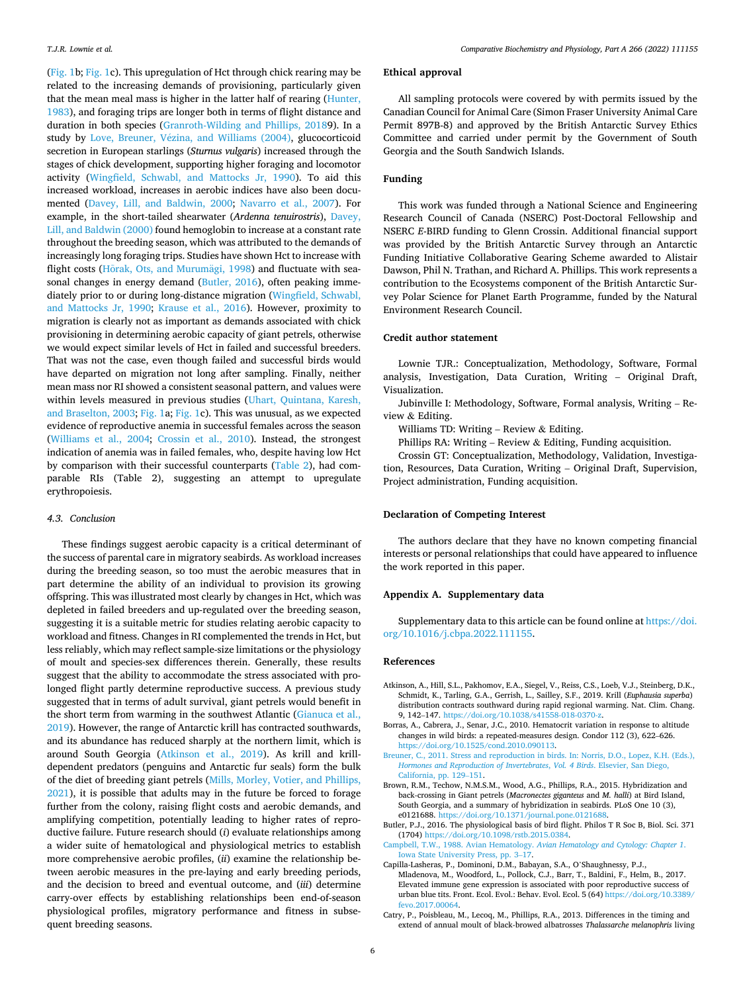<span id="page-5-0"></span>([Fig. 1](#page-3-0)b; [Fig. 1](#page-3-0)c). This upregulation of Hct through chick rearing may be related to the increasing demands of provisioning, particularly given that the mean meal mass is higher in the latter half of rearing ([Hunter,](#page-6-0)  [1983\)](#page-6-0), and foraging trips are longer both in terms of flight distance and duration in both species ([Granroth-Wilding and Phillips, 20189](#page-6-0)). In a study by Love, Breuner, Vézina, and Williams (2004), glucocorticoid secretion in European starlings (*Sturnus vulgaris*) increased through the stages of chick development, supporting higher foraging and locomotor activity ([Wingfield, Schwabl, and Mattocks Jr, 1990](#page-7-0)). To aid this increased workload, increases in aerobic indices have also been documented ([Davey, Lill, and Baldwin, 2000](#page-6-0); [Navarro et al., 2007\)](#page-6-0). For example, in the short-tailed shearwater (*Ardenna tenuirostris*), [Davey,](#page-6-0)  [Lill, and Baldwin \(2000\)](#page-6-0) found hemoglobin to increase at a constant rate throughout the breeding season, which was attributed to the demands of increasingly long foraging trips. Studies have shown Hct to increase with flight costs (Horak, [Ots, and Murum](#page-6-0)ägi, 1998) and fluctuate with seasonal changes in energy demand (Butler, 2016), often peaking immediately prior to or during long-distance migration ([Wingfield, Schwabl,](#page-7-0)  [and Mattocks Jr, 1990;](#page-7-0) [Krause et al., 2016\)](#page-6-0). However, proximity to migration is clearly not as important as demands associated with chick provisioning in determining aerobic capacity of giant petrels, otherwise we would expect similar levels of Hct in failed and successful breeders. That was not the case, even though failed and successful birds would have departed on migration not long after sampling. Finally, neither mean mass nor RI showed a consistent seasonal pattern, and values were within levels measured in previous studies ([Uhart, Quintana, Karesh,](#page-7-0)  [and Braselton, 2003](#page-7-0); [Fig. 1](#page-3-0)a; [Fig. 1](#page-3-0)c). This was unusual, as we expected evidence of reproductive anemia in successful females across the season ([Williams et al., 2004;](#page-7-0) [Crossin et al., 2010](#page-6-0)). Instead, the strongest indication of anemia was in failed females, who, despite having low Hct by comparison with their successful counterparts ([Table 2\)](#page-2-0), had comparable RIs (Table 2), suggesting an attempt to upregulate erythropoiesis.

# *4.3. Conclusion*

These findings suggest aerobic capacity is a critical determinant of the success of parental care in migratory seabirds. As workload increases during the breeding season, so too must the aerobic measures that in part determine the ability of an individual to provision its growing offspring. This was illustrated most clearly by changes in Hct, which was depleted in failed breeders and up-regulated over the breeding season, suggesting it is a suitable metric for studies relating aerobic capacity to workload and fitness. Changes in RI complemented the trends in Hct, but less reliably, which may reflect sample-size limitations or the physiology of moult and species-sex differences therein. Generally, these results suggest that the ability to accommodate the stress associated with prolonged flight partly determine reproductive success. A previous study suggested that in terms of adult survival, giant petrels would benefit in the short term from warming in the southwest Atlantic [\(Gianuca et al.,](#page-6-0)  [2019\)](#page-6-0). However, the range of Antarctic krill has contracted southwards, and its abundance has reduced sharply at the northern limit, which is around South Georgia (Atkinson et al., 2019). As krill and krilldependent predators (penguins and Antarctic fur seals) form the bulk of the diet of breeding giant petrels [\(Mills, Morley, Votier, and Phillips,](#page-6-0)  [2021\)](#page-6-0), it is possible that adults may in the future be forced to forage further from the colony, raising flight costs and aerobic demands, and amplifying competition, potentially leading to higher rates of reproductive failure. Future research should (*i*) evaluate relationships among a wider suite of hematological and physiological metrics to establish more comprehensive aerobic profiles, (*ii*) examine the relationship between aerobic measures in the pre-laying and early breeding periods, and the decision to breed and eventual outcome, and (*iii*) determine carry-over effects by establishing relationships been end-of-season physiological profiles, migratory performance and fitness in subsequent breeding seasons.

# **Ethical approval**

All sampling protocols were covered by with permits issued by the Canadian Council for Animal Care (Simon Fraser University Animal Care Permit 897B-8) and approved by the British Antarctic Survey Ethics Committee and carried under permit by the Government of South Georgia and the South Sandwich Islands.

# **Funding**

This work was funded through a National Science and Engineering Research Council of Canada (NSERC) Post-Doctoral Fellowship and NSERC *E*-BIRD funding to Glenn Crossin. Additional financial support was provided by the British Antarctic Survey through an Antarctic Funding Initiative Collaborative Gearing Scheme awarded to Alistair Dawson, Phil N. Trathan, and Richard A. Phillips. This work represents a contribution to the Ecosystems component of the British Antarctic Survey Polar Science for Planet Earth Programme, funded by the Natural Environment Research Council.

## **Credit author statement**

Lownie TJR.: Conceptualization, Methodology, Software, Formal analysis, Investigation, Data Curation, Writing – Original Draft, Visualization.

Jubinville I: Methodology, Software, Formal analysis, Writing – Review & Editing.

Williams TD: Writing – Review  $&$  Editing.

Phillips RA: Writing – Review & Editing, Funding acquisition.

Crossin GT: Conceptualization, Methodology, Validation, Investigation, Resources, Data Curation, Writing – Original Draft, Supervision, Project administration, Funding acquisition.

#### **Declaration of Competing Interest**

The authors declare that they have no known competing financial interests or personal relationships that could have appeared to influence the work reported in this paper.

## **Appendix A. Supplementary data**

Supplementary data to this article can be found online at [https://doi.](https://doi.org/10.1016/j.cbpa.2022.111155)  [org/10.1016/j.cbpa.2022.111155.](https://doi.org/10.1016/j.cbpa.2022.111155)

#### **References**

- Atkinson, A., Hill, S.L., Pakhomov, E.A., Siegel, V., Reiss, C.S., Loeb, V.J., Steinberg, D.K., Schmidt, K., Tarling, G.A., Gerrish, L., Sailley, S.F., 2019. Krill (*Euphausia superba*) distribution contracts southward during rapid regional warming. Nat. Clim. Chang. 9, 142–147. <https://doi.org/10.1038/s41558-018-0370-z>.
- Borras, A., Cabrera, J., Senar, J.C., 2010. Hematocrit variation in response to altitude changes in wild birds: a repeated-measures design. Condor 112 (3), 622–626. <https://doi.org/10.1525/cond.2010.090113>.
- Breuner, C., 2011. Stress and reproduction in birds. In: Norris, D.O., Lopez, K.H. (Eds.), *[Hormones and Reproduction of Invertebrates](http://refhub.elsevier.com/S1095-6433(22)00013-7/rf0015)*, *Vol. 4 Birds*. Elsevier, San Diego, [California, pp. 129](http://refhub.elsevier.com/S1095-6433(22)00013-7/rf0015)–151.
- Brown, R.M., Techow, N.M.S.M., Wood, A.G., Phillips, R.A., 2015. Hybridization and back-crossing in Giant petrels (*Macronectes giganteus* and *M. halli*) at Bird Island, South Georgia, and a summary of hybridization in seabirds. PLoS One 10 (3), e0121688. <https://doi.org/10.1371/journal.pone.0121688>.
- Butler, P.J., 2016. The physiological basis of bird flight. Philos T R Soc B, Biol. Sci. 371 (1704) [https://doi.org/10.1098/rstb.2015.0384.](https://doi.org/10.1098/rstb.2015.0384)
- [Campbell, T.W., 1988. Avian Hematology.](http://refhub.elsevier.com/S1095-6433(22)00013-7/rf0030) *Avian Hematology and Cytology: Chapter 1*. [Iowa State University Press, pp. 3](http://refhub.elsevier.com/S1095-6433(22)00013-7/rf0030)–17.
- Capilla-Lasheras, P., Dominoni, D.M., Babayan, S.A., O'Shaughnessy, P.J., Mladenova, M., Woodford, L., Pollock, C.J., Barr, T., Baldini, F., Helm, B., 2017. Elevated immune gene expression is associated with poor reproductive success of urban blue tits. Front. Ecol. Evol.: Behav. Evol. Ecol. 5 (64) [https://doi.org/10.3389/](https://doi.org/10.3389/fevo.2017.00064)  [fevo.2017.00064](https://doi.org/10.3389/fevo.2017.00064).
- Catry, P., Poisbleau, M., Lecoq, M., Phillips, R.A., 2013. Differences in the timing and extend of annual moult of black-browed albatrosses *Thalassarche melanophris* living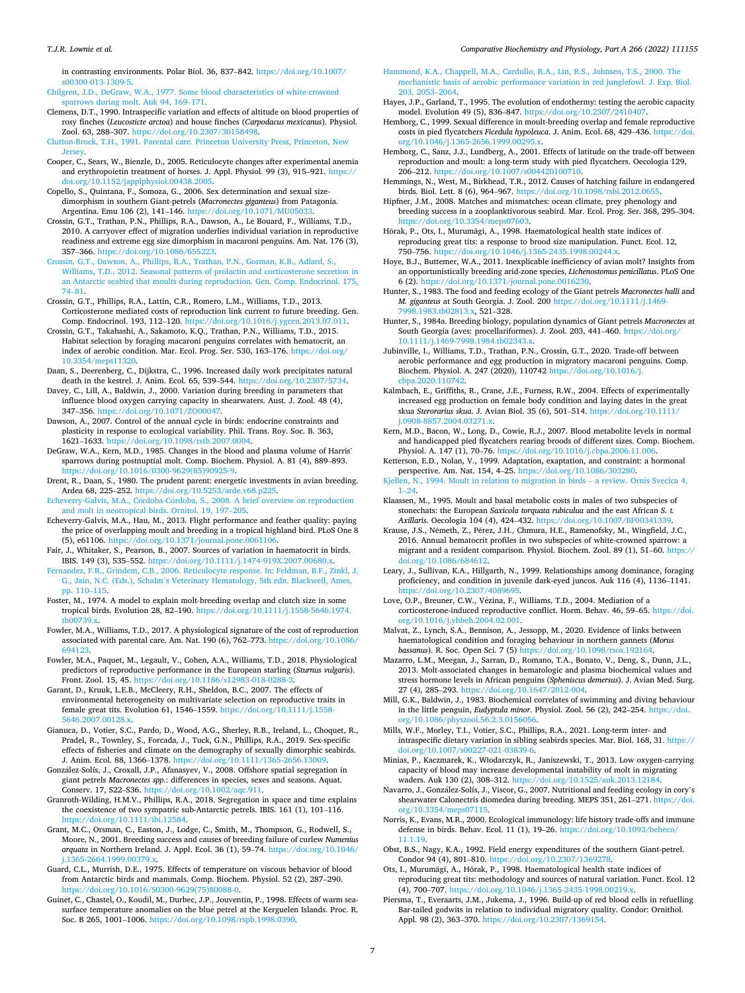<span id="page-6-0"></span>in contrasting environments. Polar Biol. 36, 837–842. [https://doi.org/10.1007/](https://doi.org/10.1007/s00300-013-1309-5)  [s00300-013-1309-5.](https://doi.org/10.1007/s00300-013-1309-5)

[Chilgren, J.D., DeGraw, W.A., 1977. Some blood characteristics of white-crowned](http://refhub.elsevier.com/S1095-6433(22)00013-7/rf0045) [sparrows during molt. Auk 94, 169](http://refhub.elsevier.com/S1095-6433(22)00013-7/rf0045)–171.

- Clemens, D.T., 1990. Intraspecific variation and effects of altitude on blood properties of rosy finches (*Leucosticte arctoa*) and house finches (*Carpodacus mexicanus*). Physiol. Zool. 63, 288–307. <https://doi.org/10.2307/30158498>.
- [Clutton-Brock, T.H., 1991. Parental care. Princeton University Press, Princeton, New](http://refhub.elsevier.com/S1095-6433(22)00013-7/rf0055)
- [Jersey](http://refhub.elsevier.com/S1095-6433(22)00013-7/rf0055). Cooper, C., Sears, W., Bienzle, D., 2005. Reticulocyte changes after experimental anemia and erythropoietin treatment of horses. J. Appl. Physiol. 99 (3), 915–921. https:/ [doi.org/10.1152/japplphysiol.00438.2005.](https://doi.org/10.1152/japplphysiol.00438.2005)
- Copello, S., Quintana, F., Somoza, G., 2006. Sex determination and sexual sizedimorphism in southern Giant-petrels (*Macronectes giganteus*) from Patagonia. Argentina. Emu 106 (2), 141-146. https://doi.org/10.1071/MU0503.
- Crossin, G.T., Trathan, P.N., Phillips, R.A., Dawson, A., Le Bouard, F., Williams, T.D., 2010. A carryover effect of migration underlies individual variation in reproductive readiness and extreme egg size dimorphism in macaroni penguins. Am. Nat. 176 (3), 357–366. [https://doi.org/10.1086/655223.](https://doi.org/10.1086/655223)
- [Crossin, G.T., Dawson, A., Phillips, R.A., Trathan, P.N., Gorman, K.B., Adlard, S.,](http://refhub.elsevier.com/S1095-6433(22)00013-7/rf0080)  [Williams, T.D., 2012. Seasonal patterns of prolactin and corticosterone secretion in](http://refhub.elsevier.com/S1095-6433(22)00013-7/rf0080)  [an Antarctic seabird that moults during reproduction. Gen. Comp. Endocrinol. 175,](http://refhub.elsevier.com/S1095-6433(22)00013-7/rf0080)  74–[81](http://refhub.elsevier.com/S1095-6433(22)00013-7/rf0080).
- Crossin, G.T., Phillips, R.A., Lattin, C.R., Romero, L.M., Williams, T.D., 2013. Corticosterone mediated costs of reproduction link current to future breeding. Gen. Comp. Endocrinol. 193, 112–120. <https://doi.org/10.1016/j.ygcen.2013.07.011>.
- Crossin, G.T., Takahashi, A., Sakamoto, K.Q., Trathan, P.N., Williams, T.D., 2015. Habitat selection by foraging macaroni penguins correlates with hematocrit, an index of aerobic condition. Mar. Ecol. Prog. Ser. 530, 163–176. [https://doi.org/](https://doi.org/10.3354/meps11320) [10.3354/meps11320.](https://doi.org/10.3354/meps11320)
- Daan, S., Deerenberg, C., Dijkstra, C., 1996. Increased daily work precipitates natural death in the kestrel. J. Anim. Ecol. 65, 539–544. [https://doi.org/10.2307/5734.](https://doi.org/10.2307/5734)
- Davey, C., Lill, A., Baldwin, J., 2000. Variation during breeding in parameters that influence blood oxygen carrying capacity in shearwaters. Aust. J. Zool. 48 (4), 347–356. <https://doi.org/10.1071/ZO00047>.
- Dawson, A., 2007. Control of the annual cycle in birds: endocrine constraints and plasticity in response to ecological variability. Phil. Trans. Roy. Soc. B. 363, 1621–1633.<https://doi.org/10.1098/rstb.2007.0004>.
- DeGraw, W.A., Kern, M.D., 1985. Changes in the blood and plasma volume of Harris' sparrows during postnuptial molt. Comp. Biochem. Physiol. A. 81 (4), 889–893. [https://doi.org/10.1016/0300-9629\(85\)90925-9.](https://doi.org/10.1016/0300-9629(85)90925-9)
- Drent, R., Daan, S., 1980. The prudent parent: energetic investments in avian breeding. Ardea 68, 225–252. [https://doi.org/10.5253/arde.v68.p225.](https://doi.org/10.5253/arde.v68.p225)
- Echeverry-Galvis, M.A., Córdoba-Córdoba, S., 2008. A brief overview on reproduction [and molt in neotropical birds. Ornitol. 19, 197](http://refhub.elsevier.com/S1095-6433(22)00013-7/rf0120)–205.
- Echeverry-Galvis, M.A., Hau, M., 2013. Flight performance and feather quality: paying the price of overlapping moult and breeding in a tropical highland bird. PLoS One 8 (5), e61106. <https://doi.org/10.1371/journal.pone.0061106>.
- Fair, J., Whitaker, S., Pearson, B., 2007. Sources of variation in haematocrit in birds.
- IBIS. 149 (3), 535–552. <https://doi.org/10.1111/j.1474-919X.2007.00680.x>. [Fernandez, F.R., Grindem, C.B., 2006. Reticulocyte response. In: Feldman, B.F., Zinkl, J.](http://refhub.elsevier.com/S1095-6433(22)00013-7/rf0135)  G., Jain, N.C. (Eds.), Schalm'[s Veterinary Hematology, 5th edn. Blackwell, Ames,](http://refhub.elsevier.com/S1095-6433(22)00013-7/rf0135)  [pp. 110](http://refhub.elsevier.com/S1095-6433(22)00013-7/rf0135)–115.
- Foster, M., 1974. A model to explain molt-breeding overlap and clutch size in some tropical birds. Evolution 28, 82–190. [https://doi.org/10.1111/j.1558-5646.1974.](https://doi.org/10.1111/j.1558-5646.1974.tb00739.x) [tb00739.x](https://doi.org/10.1111/j.1558-5646.1974.tb00739.x).
- Fowler, M.A., Williams, T.D., 2017. A physiological signature of the cost of reproduction associated with parental care. Am. Nat. 190 (6), 762–773. [https://doi.org/10.1086/](https://doi.org/10.1086/694123)  [694123](https://doi.org/10.1086/694123).
- Fowler, M.A., Paquet, M., Legault, V., Cohen, A.A., Williams, T.D., 2018. Physiological predictors of reproductive performance in the European starling (*Sturnus vulgaris*). Front. Zool. 15, 45. <https://doi.org/10.1186/s12983-018-0288-3>.
- Garant, D., Kruuk, L.E.B., McCleery, R.H., Sheldon, B.C., 2007. The effects of environmental heterogeneity on multivariate selection on reproductive traits in female great tits. Evolution 61, 1546–1559. [https://doi.org/10.1111/j.1558-](https://doi.org/10.1111/j.1558-5646.2007.00128.x)  [5646.2007.00128.x.](https://doi.org/10.1111/j.1558-5646.2007.00128.x)
- Gianuca, D., Votier, S.C., Pardo, D., Wood, A.G., Sherley, R.B., Ireland, L., Choquet, R., Pradel, R., Townley, S., Forcada, J., Tuck, G.N., Phillips, R.A., 2019. Sex-specific effects of fisheries and climate on the demography of sexually dimorphic seabirds. J. Anim. Ecol. 88, 1366–1378. [https://doi.org/10.1111/1365-2656.13009.](https://doi.org/10.1111/1365-2656.13009)
- González-Solís, J., Croxall, J.P., Afanasyev, V., 2008. Offshore spatial segregation in giant petrels *Macronectes spp*.: differences in species, sexes and seasons. Aquat. Conserv. 17, S22–S36.<https://doi.org/10.1002/aqc.911>.
- Granroth-Wilding, H.M.V., Phillips, R.A., 2018. Segregation in space and time explains the coexistence of two sympatric sub-Antarctic petrels. IBIS. 161 (1), 101–116. <https://doi.org/10.1111/ibi.12584>.
- Grant, M.C., Orsman, C., Easton, J., Lodge, C., Smith, M., Thompson, G., Rodwell, S., Moore, N., 2001. Breeding success and causes of breeding failure of curlew *Numenius arquata* in Northern Ireland. J. Appl. Ecol. 36 (1), 59–74. [https://doi.org/10.1046/](https://doi.org/10.1046/j.1365-2664.1999.00379.x)  365-2664.1999.00379.
- Guard, C.L., Murrish, D.E., 1975. Effects of temperature on viscous behavior of blood from Antarctic birds and mammals. Comp. Biochem. Physiol. 52 (2), 287–290. [https://doi.org/10.1016/S0300-9629\(75\)80088-0.](https://doi.org/10.1016/S0300-9629(75)80088-0)
- Guinet, C., Chastel, O., Koudil, M., Durbec, J.P., Jouventin, P., 1998. Effects of warm seasurface temperature anomalies on the blue petrel at the Kerguelen Islands. Proc. R. Soc. B 265, 1001–1006. [https://doi.org/10.1098/rspb.1998.0390.](https://doi.org/10.1098/rspb.1998.0390)
- [Hammond, K.A., Chappell, M.A., Cardullo, R.A., Lin, R.S., Johnsen, T.S., 2000. The](http://refhub.elsevier.com/S1095-6433(22)00013-7/rf0190) [mechanistic basis of aerobic performance variation in red junglefowl. J. Exp. Biol.](http://refhub.elsevier.com/S1095-6433(22)00013-7/rf0190) [203, 2053](http://refhub.elsevier.com/S1095-6433(22)00013-7/rf0190)–2064.
- Hayes, J.P., Garland, T., 1995. The evolution of endothermy: testing the aerobic capacity model. Evolution 49 (5), 836-847. https://doi.org/10.2307/241040
- Hemborg, C., 1999. Sexual difference in moult-breeding overlap and female reproductive costs in pied flycatchers *Ficedula hypoleuca*. J. Anim. Ecol. 68, 429–436. [https://doi.](https://doi.org/10.1046/j.1365-2656.1999.00295.x)  [org/10.1046/j.1365-2656.1999.00295.x.](https://doi.org/10.1046/j.1365-2656.1999.00295.x)
- Hemborg, C., Sanz, J.J., Lundberg, A., 2001. Effects of latitude on the trade-off between reproduction and moult: a long-term study with pied flycatchers. Oecologia 129, 206–212. [https://doi.org/10.1007/s004420100710.](https://doi.org/10.1007/s004420100710)
- Hemmings, N., West, M., Birkhead, T.R., 2012. Causes of hatching failure in endangered birds. Biol. Lett. 8 (6), 964-967. https://doi.org/10.1098/rsbl.2012.06
- Hipfner, J.M., 2008. Matches and mismatches: ocean climate, prey phenology and breeding success in a zooplanktivorous seabird. Mar. Ecol. Prog. Ser. 368, 295–304. [https://doi.org/10.3354/meps07603.](https://doi.org/10.3354/meps07603)
- Hõrak, P., Ots, I., Murumägi, A., 1998. Haematological health state indices of reproducing great tits: a response to brood size manipulation. Funct. Ecol. 12, 750–756. <https://doi.org/10.1046/j.1365-2435.1998.00244.x>.
- Hoye, B.J., Buttemer, W.A., 2011. Inexplicable inefficiency of avian molt? Insights from an opportunistically breeding arid-zone species, *Lichenostomus penicillatus*. PLoS One 6 (2). <https://doi.org/10.1371/journal.pone.0016230>.
- Hunter, S., 1983. The food and feeding ecology of the Giant petrels *Macronectes halli* and *M. giganteus* at South Georgia. J. Zool. 200 [https://doi.org/10.1111/j.1469-](https://doi.org/10.1111/j.1469-7998.1983.tb02813.x)  98.1983.tb02813.x, 521-328.
- Hunter, S., 1984a. Breeding biology, population dynamics of Giant petrels *Macronectes* at South Georgia (aves: procellariformes). J. Zool. 203, 441–460. [https://doi.org/](https://doi.org/10.1111/j.1469-7998.1984.tb02343.x) [10.1111/j.1469-7998.1984.tb02343.x](https://doi.org/10.1111/j.1469-7998.1984.tb02343.x).
- Jubinville, I., Williams, T.D., Trathan, P.N., Crossin, G.T., 2020. Trade-off between aerobic performance and egg production in migratory macaroni penguins. Comp. Biochem. Physiol. A. 247 (2020), 110742 [https://doi.org/10.1016/j.](https://doi.org/10.1016/j.cbpa.2020.110742)  [cbpa.2020.110742](https://doi.org/10.1016/j.cbpa.2020.110742).
- Kalmbach, E., Griffiths, R., Crane, J.E., Furness, R.W., 2004. Effects of experimentally increased egg production on female body condition and laying dates in the great skua *Sterorarius skua*. J. Avian Biol. 35 (6), 501–514. [https://doi.org/10.1111/](https://doi.org/10.1111/j.0908-8857.2004.03271.x)  [j.0908-8857.2004.03271.x.](https://doi.org/10.1111/j.0908-8857.2004.03271.x)
- Kern, M.D., Bacon, W., Long, D., Cowie, R.J., 2007. Blood metabolite levels in normal and handicapped pied flycatchers rearing broods of different sizes. Comp. Biochem. Physiol. A. 147 (1), 70–76. <https://doi.org/10.1016/j.cbpa.2006.11.006>.
- Ketterson, E.D., Nolan, V., 1999. Adaptation, exaptation, and constraint: a hormonal perspective. Am. Nat. 154, 4–25. [https://doi.org/10.1086/303280.](https://doi.org/10.1086/303280)

Kjellén, N., 1994. Moult in relation to migration in birds - a review. Ornis Svecica 4,  $1 - 24$ 

- Klaassen, M., 1995. Moult and basal metabolic costs in males of two subspecies of stonechats: the European *Saxicola torquata rubiculua* and the east African *S. t. Axillaris*. Oecologia 104 (4), 424–432. [https://doi.org/10.1007/BF00341339.](https://doi.org/10.1007/BF00341339)
- Krause, J.S., Németh, Z., Pérez, J.H., Chmura, H.E., Ramenofsky, M., Wingfield, J.C., 2016. Annual hematocrit profiles in two subspecies of white-crowned sparrow: a migrant and a resident comparison. Physiol. Biochem. Zool. 89 (1), 51–60. [https://](https://doi.org/10.1086/684612)  [doi.org/10.1086/684612.](https://doi.org/10.1086/684612)
- Leary, J., Sullivan, K.A., Hillgarth, N., 1999. Relationships among dominance, foraging proficiency, and condition in juvenile dark-eyed juncos. Auk 116 (4), 1136–1141. https://doi.org/10.2307/408969
- Love, O.P., Breuner, C.W., Vézina, F., Williams, T.D., 2004. Mediation of a corticosterone-induced reproductive conflict. Horm. Behav. 46, 59–65. [https://doi.](https://doi.org/10.1016/j.yhbeh.2004.02.001)  [org/10.1016/j.yhbeh.2004.02.001](https://doi.org/10.1016/j.yhbeh.2004.02.001).
- Malvat, Z., Lynch, S.A., Bennison, A., Jessopp, M., 2020. Evidence of links between haematological condition and foraging behaviour in northern gannets (*Morus bassanus*). R. Soc. Open Sci. 7 (5) [https://doi.org/10.1098/rsos.192164.](https://doi.org/10.1098/rsos.192164)
- Mazarro, L.M., Meegan, J., Sarran, D., Romano, T.A., Bonato, V., Deng, S., Dunn, J.L., 2013. Molt-associated changes in hematologic and plasma biochemical values and stress hormone levels in African penguins (*Spheniscus demersus*). J. Avian Med. Surg. 27 (4), 285–293. [https://doi.org/10.1647/2012-004.](https://doi.org/10.1647/2012-004)
- Mill, G.K., Baldwin, J., 1983. Biochemical correlates of swimming and diving behaviour in the little penguin, *Eudyptula minor*. Physiol. Zool. 56 (2), 242–254. [https://doi.](https://doi.org/10.1086/physzool.56.2.3.0156056)  [org/10.1086/physzool.56.2.3.0156056.](https://doi.org/10.1086/physzool.56.2.3.0156056)
- Mills, W.F., Morley, T.I., Votier, S.C., Phillips, R.A., 2021. Long-term inter- and intraspecific dietary variation in sibling seabirds species. Mar. Biol. 168, 31. [https://](https://doi.org/10.1007/s00227-021-03839-6)  [doi.org/10.1007/s00227-021-03839-6](https://doi.org/10.1007/s00227-021-03839-6).
- Minias, P., Kaczmarek, K., Włodarczyk, R., Janiszewski, T., 2013. Low oxygen-carrying capacity of blood may increase developmental instability of molt in migrating waders. Auk 130 (2), 308–312. [https://doi.org/10.1525/auk.2013.12184.](https://doi.org/10.1525/auk.2013.12184)
- Navarro, J., González-Solís, J., Viscor, G., 2007. Nutritional and feeding ecology in cory's shearwater Calonectris diomedea during breeding. MEPS 351, 261–271. [https://doi.](https://doi.org/10.3354/meps07115)  [org/10.3354/meps07115](https://doi.org/10.3354/meps07115).
- Norris, K., Evans, M.R., 2000. Ecological immunology: life history trade-offs and immune defense in birds. Behav. Ecol. 11 (1), 19–26. [https://doi.org/10.1093/beheco/](https://doi.org/10.1093/beheco/11.1.19)
- [11.1.19](https://doi.org/10.1093/beheco/11.1.19). Obst, B.S., Nagy, K.A., 1992. Field energy expenditures of the southern Giant-petrel. Condor 94 (4), 801-810. https://doi.org/10.2307/136927
- Ots, I., Murumägi, A., Hõrak, P., 1998. Haematological health state indices of reproducing great tits: methodology and sources of natural variation. Funct. Ecol. 12 (4), 700–707. [https://doi.org/10.1046/j.1365-2435-1998.00219.x.](https://doi.org/10.1046/j.1365-2435-1998.00219.x)
- Piersma, T., Everaarts, J.M., Jukema, J., 1996. Build-up of red blood cells in refuelling Bar-tailed godwits in relation to individual migratory quality. Condor: Ornithol. Appl. 98 (2), 363–370. [https://doi.org/10.2307/1369154.](https://doi.org/10.2307/1369154)